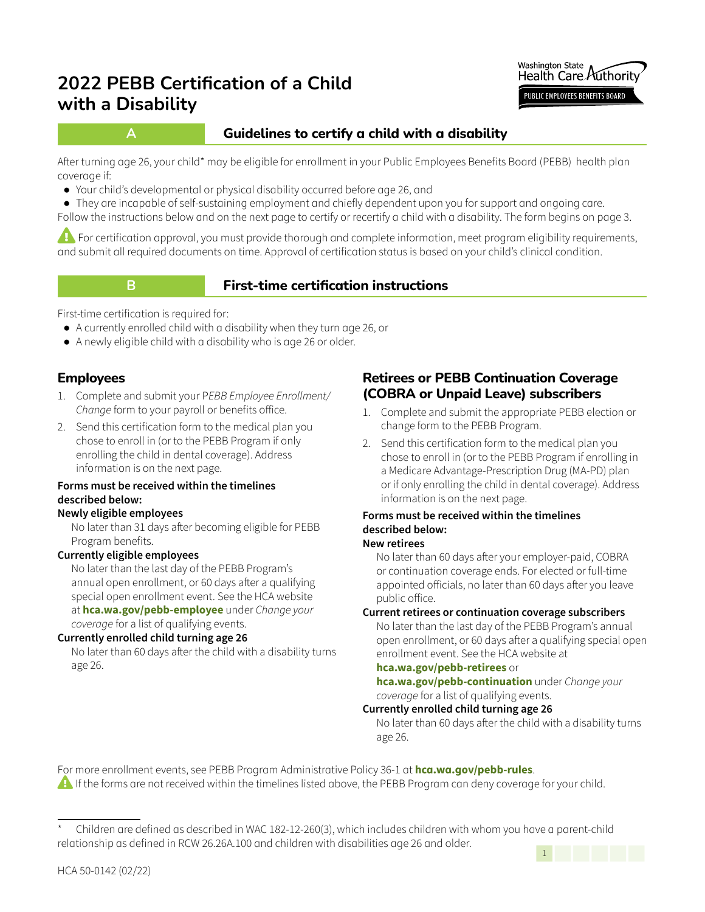

# **A Guidelines to certify a child with a disability**

After turning age 26, your child\* may be eligible for enrollment in your Public Employees Benefits Board (PEBB) health plan coverage if:

**●** Your child's developmental or physical disability occurred before age 26, and

**●** They are incapable of self-sustaining employment and chiefly dependent upon you for support and ongoing care. Follow the instructions below and on the next page to certify or recertify a child with a disability. The form begins on page 3.

**EX** For certification approval, you must provide thorough and complete information, meet program eligibility requirements, and submit all required documents on time. Approval of certification status is based on your child's clinical condition.

# **B First-time certification instructions**

First-time certification is required for:

- **●** A currently enrolled child with a disability when they turn age 26, or
- **●** A newly eligible child with a disability who is age 26 or older.

# **Employees**

- 1. Complete and submit your P*EBB Employee Enrollment/ Change* form to your payroll or benefits office.
- 2. Send this certification form to the medical plan you chose to enroll in (or to the PEBB Program if only enrolling the child in dental coverage). Address information is on the next page.

#### **Forms must be received within the timelines described below:**

#### **Newly eligible employees**

No later than 31 days after becoming eligible for PEBB Program benefits.

### **Currently eligible employees**

No later than the last day of the PEBB Program's annual open enrollment, or 60 days after a qualifying special open enrollment event. See the HCA website at **[hca.wa.gov/pebb-employee](http://hca.wa.gov/pebb-employee)** under *Change your coverage* for a list of qualifying events.

#### **Currently enrolled child turning age 26**

No later than 60 days after the child with a disability turns age 26.

# **Retirees or PEBB Continuation Coverage (COBRA or Unpaid Leave) subscribers**

- 1. Complete and submit the appropriate PEBB election or change form to the PEBB Program.
- 2. Send this certification form to the medical plan you chose to enroll in (or to the PEBB Program if enrolling in a Medicare Advantage-Prescription Drug (MA-PD) plan or if only enrolling the child in dental coverage). Address information is on the next page.

#### **Forms must be received within the timelines described below: New retirees**

No later than 60 days after your employer-paid, COBRA or continuation coverage ends. For elected or full-time appointed officials, no later than 60 days after you leave public office.

### **Current retirees or continuation coverage subscribers**

No later than the last day of the PEBB Program's annual open enrollment, or 60 days after a qualifying special open enrollment event. See the HCA website at

#### **hca.wa.gov/pebb-retirees** or

**hca.wa.gov/pebb-continuation** under *Change your coverage* for a list of qualifying events.

#### **Currently enrolled child turning age 26**

No later than 60 days after the child with a disability turns age 26.

For more enrollment events, see PEBB Program Administrative Policy 36-1 at **hca.wa.gov/pebb-rules**. **A** If the forms are not received within the timelines listed above, the PEBB Program can deny coverage for your child.



Children are defined as described in WAC 182-12-260(3), which includes children with whom you have a parent-child relationship as defined in RCW 26.26A.100 and children with disabilities age 26 and older.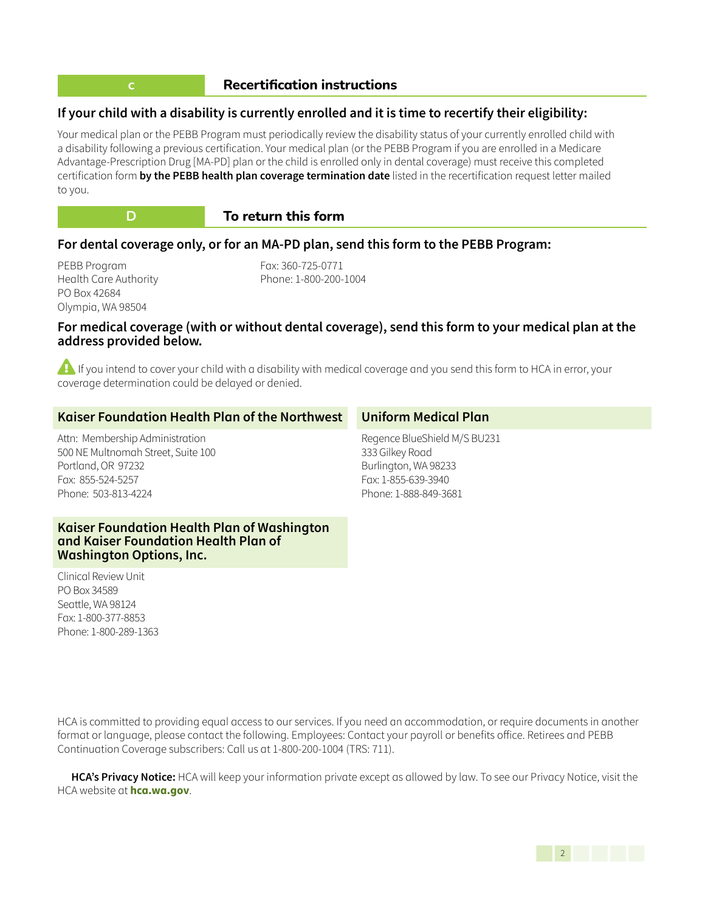#### **Recertification instructions**

#### **If your child with a disability is currently enrolled and it is time to recertify their eligibility:**

Your medical plan or the PEBB Program must periodically review the disability status of your currently enrolled child with a disability following a previous certification. Your medical plan (or the PEBB Program if you are enrolled in a Medicare Advantage-Prescription Drug [MA-PD] plan or the child is enrolled only in dental coverage) must receive this completed certification form **by the PEBB health plan coverage termination date** listed in the recertification request letter mailed to you.



#### **D To return this form**

#### **For dental coverage only, or for an MA-PD plan, send this form to the PEBB Program:**

PEBB Program Health Care Authority PO Box 42684 Olympia, WA 98504

Fax: 360-725-0771 Phone: 1-800-200-1004

#### **For medical coverage (with or without dental coverage), send this form to your medical plan at the address provided below.**

**Example If you intend to cover your child with a disability with medical coverage and you send this form to HCA in error, your** coverage determination could be delayed or denied.

| Kaiser Foundation Health Plan of the Northwest                                                                                          | <b>Uniform Medical Plan</b>                                                                                             |
|-----------------------------------------------------------------------------------------------------------------------------------------|-------------------------------------------------------------------------------------------------------------------------|
| Attn: Membership Administration<br>500 NE Multnomah Street, Suite 100<br>Portland, OR 97232<br>Fax: 855-524-5257<br>Phone: 503-813-4224 | Regence BlueShield M/S BU231<br>333 Gilkey Road<br>Burlington, WA 98233<br>Fax: 1-855-639-3940<br>Phone: 1-888-849-3681 |
| Kaiser Foundation Health Plan of Washington<br>and Kaiser Foundation Health Plan of                                                     |                                                                                                                         |

Clinical Review Unit PO Box 34589 Seattle, WA 98124 Fax: 1-800-377-8853 Phone: 1-800-289-1363

**Washington Options, Inc.**

HCA is committed to providing equal access to our services. If you need an accommodation, or require documents in another format or language, please contact the following. Employees: Contact your payroll or benefits office. Retirees and PEBB Continuation Coverage subscribers: Call us at 1-800-200-1004 (TRS: 711).

**HCA's Privacy Notice:** HCA will keep your information private except as allowed by law. To see our Privacy Notice, visit the HCA website at **hca.wa.gov**.

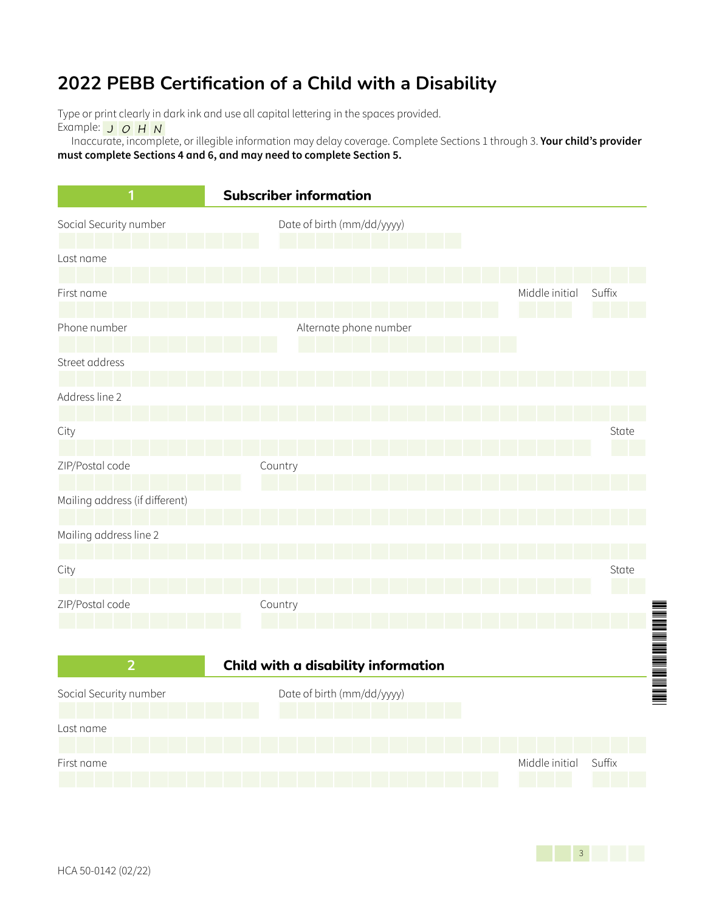Type or print clearly in dark ink and use all capital lettering in the spaces provided.

Example:  $J$   $O$   $H$   $N$ 

Inaccurate, incomplete, or illegible information may delay coverage. Complete Sections 1 through 3. **Your child's provider must complete Sections 4 and 6, and may need to complete Section 5.**



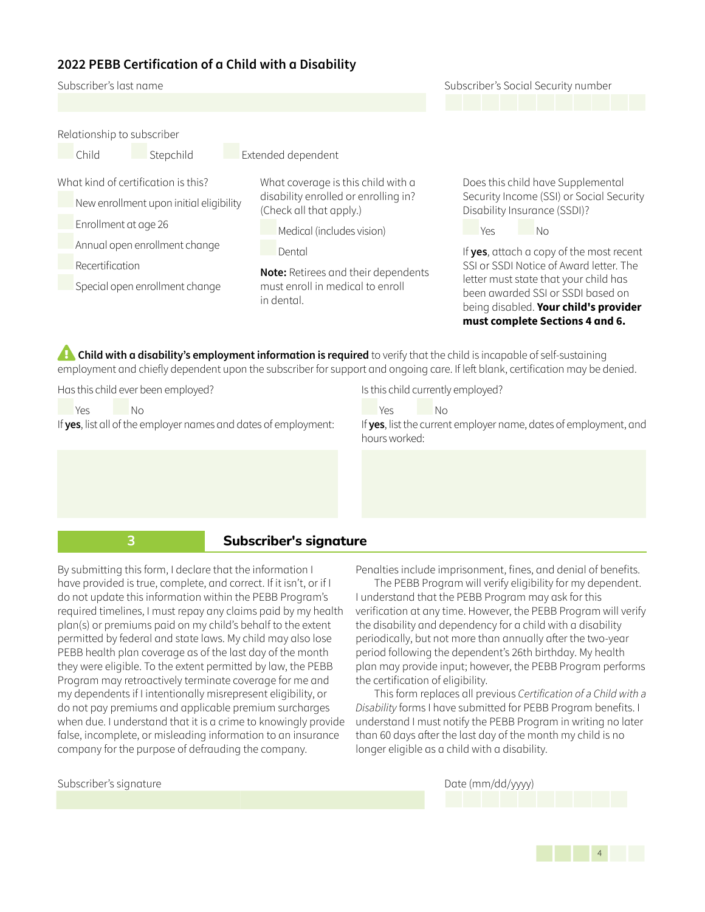Subscriber's last name Subscriber's Social Security number

Relationship to subscriber Child Stepchild Extended dependent What kind of certification is this? New enrollment upon initial eligibility Enrollment at age 26 Annual open enrollment change Recertification Special open enrollment change What coverage is this child with a disability enrolled or enrolling in? (Check all that apply.) Medical (includes vision) Dental **Note:** Retirees and their dependents must enroll in medical to enroll in dental.

Does this child have Supplemental Security Income (SSI) or Social Security Disability Insurance (SSDI)?

Yes No

If **yes**, attach a copy of the most recent SSI or SSDI Notice of Award letter. The letter must state that your child has been awarded SSI or SSDI based on being disabled. **Your child's provider must complete Sections 4 and 6.**

**Child with a disability's employment information is required** to verify that the child is incapable of self-sustaining employment and chiefly dependent upon the subscriber for support and ongoing care. If left blank, certification may be denied.

Has this child ever been employed?

Subscriber's signature

Yes No If **yes**, list all of the employer names and dates of employment: Is this child currently employed?

Yes No

If **yes**, list the current employer name, dates of employment, and hours worked:

#### **3 Subscriber's signature**

By submitting this form, I declare that the information I have provided is true, complete, and correct. If it isn't, or if I do not update this information within the PEBB Program's required timelines, I must repay any claims paid by my health plan(s) or premiums paid on my child's behalf to the extent permitted by federal and state laws. My child may also lose PEBB health plan coverage as of the last day of the month they were eligible. To the extent permitted by law, the PEBB Program may retroactively terminate coverage for me and my dependents if I intentionally misrepresent eligibility, or do not pay premiums and applicable premium surcharges when due. I understand that it is a crime to knowingly provide false, incomplete, or misleading information to an insurance company for the purpose of defrauding the company.

Penalties include imprisonment, fines, and denial of benefits.

The PEBB Program will verify eligibility for my dependent. I understand that the PEBB Program may ask for this verification at any time. However, the PEBB Program will verify the disability and dependency for a child with a disability periodically, but not more than annually after the two-year period following the dependent's 26th birthday. My health plan may provide input; however, the PEBB Program performs the certification of eligibility.

This form replaces all previous *Certification of a Child with a Disability* forms I have submitted for PEBB Program benefits. I understand I must notify the PEBB Program in writing no later than 60 days after the last day of the month my child is no longer eligible as a child with a disability.

Date (mm/dd/yyyy)

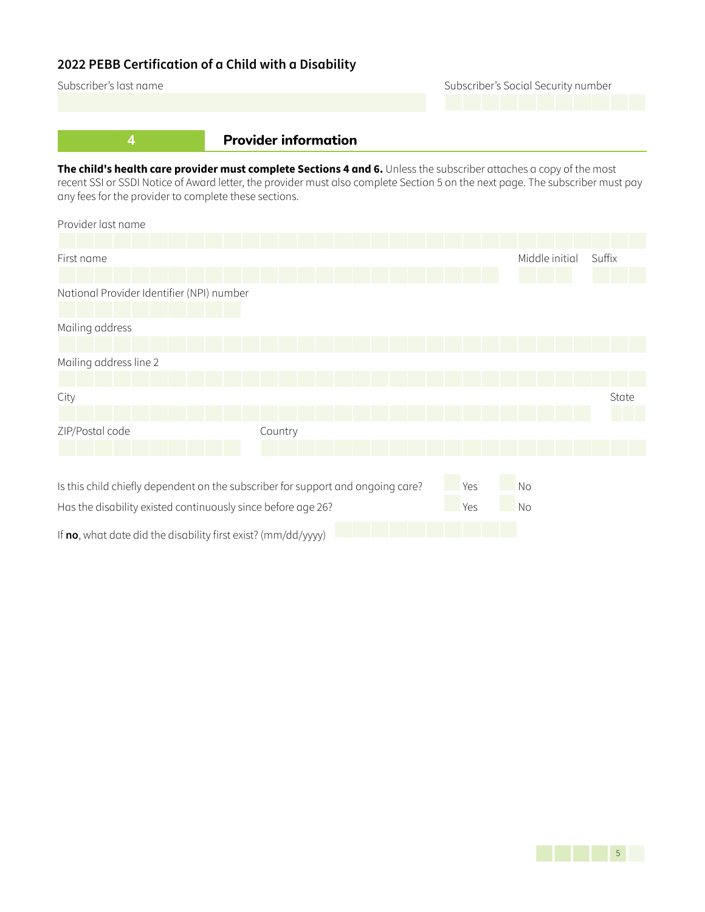Subscriber's last name **Subscriber's Social Security number** Subscriber's Social Security number

# **4 Provider information**

**The child's health care provider must complete Sections 4 and 6.** Unless the subscriber attaches a copy of the most recent SSI or SSDI Notice of Award letter, the provider must also complete Section 5 on the next page. The subscriber must pay any fees for the provider to complete these sections.

| Provider last name                                                              |         |     |           |                |        |
|---------------------------------------------------------------------------------|---------|-----|-----------|----------------|--------|
|                                                                                 |         |     |           |                |        |
| First name                                                                      |         |     |           | Middle initial | Suffix |
|                                                                                 |         |     |           |                |        |
| National Provider Identifier (NPI) number                                       |         |     |           |                |        |
|                                                                                 |         |     |           |                |        |
| Mailing address                                                                 |         |     |           |                |        |
|                                                                                 |         |     |           |                |        |
| Mailing address line 2                                                          |         |     |           |                |        |
|                                                                                 |         |     |           |                |        |
| City                                                                            |         |     |           |                | State  |
|                                                                                 |         |     |           |                |        |
| ZIP/Postal code                                                                 | Country |     |           |                |        |
|                                                                                 |         |     |           |                |        |
|                                                                                 |         |     |           |                |        |
| Is this child chiefly dependent on the subscriber for support and ongoing care? |         | Yes | No        |                |        |
| Has the disability existed continuously since before age 26?                    |         | Yes | <b>No</b> |                |        |
| If no, what date did the disability first exist? (mm/dd/yyyy)                   |         |     |           |                |        |